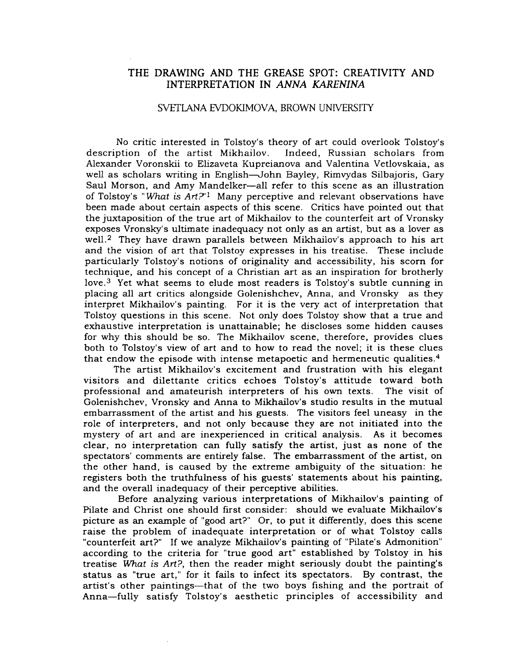## THE DRAWING AND THE GREASE SPOT: CREATIVITY AND INTERPRETATION IN *ANNA KARENINA*

## SVETlANA EVDOKIMOVA, BROWN UNIVERSITY

No critic interested in Tolstoy's theory of art could overlook Tolstoy's description of the artist Mikhailov. Indeed, Russian scholars from Alexander Voronskii to Elizaveta Kupreianova and Valentina Vetlovskaia, as well as scholars writing in English-John Bayley, Rimvydas Silbajoris, Gary Saul Morson, and Amy Mandelker-all refer to this scene as an illustration of Tolstoy's "What is  $Art2^{-1}$  Many perceptive and relevant observations have been made about certain aspects of this scene. Critics have pointed out that the juxtaposition of the true art of Mikhailov to the counterfeit art of Vronsky exposes Vronsky's ultimate inadequacy not only as an artist, but as a lover as well.<sup>2</sup> They have drawn parallels between Mikhailov's approach to his art and the vision of art that Tolstoy expresses in his treatise. These include particularly Tolstoy's notions of originality and accessibility, his scorn for technique, and his concept of a Christian art as an inspiration for brotherly love.<sup>3</sup> Yet what seems to elude most readers is Tolstoy's subtle cunning in placing all art critics alongside Golenishchev, Anna, and Vronsky as they interpret Mikhailov's painting. For it is the very act of interpretation that Tolstoy questions in this scene. Not only does Tolstoy show that a true and exhaustive interpretation is unattainable; he discloses some hidden causes for why this should be so. The Mikhailov scene, therefore, provides clues both to Tolstoy's view of art and to how to read the novel; it is these clues that endow the episode with intense metapoetic and hermeneutic qualities. <sup>4</sup>

The artist Mikhailov's excitement and frustration with his elegant visitors and dilettante critics echoes Tolstoy's attitude toward both professional and amateurish. interpreters of his own texts. The visit of Golenishchev, Vronsky and Anna to Mikhailov's studio results in the mutual embarrassment of the artist and his guests. The visitors feel uneasy in the role of interpreters, and not only because they are not initiated into the mystery of art and are inexperienced in critical analysis. As it becomes clear, no interpretation can fully satisfy the artist, just as none of the spectators' comments are entirely false. The embarrassment of the artist, on the other hand, is caused by the extreme ambiguity of the situation: he registers both the truthfulness of his guests' statements about his painting, and the overall inadequacy of their perceptive abilities.

Before analyzing various interpretations of Mikhailov's painting of Pilate and Christ one should first consider: should we evaluate Mikhailov's picture as an example of "good art?" Or, to put it differently, does this scene raise the problem of inadequate interpretation or of what Tolstoy calls "counterfeit art?" If we analyze Mikhailov's painting of "Pilate's Admonition" according to the criteria for "true good art" established by Tolstoy in his treatise *What* is Art?, then the reader might seriously doubt the painting's status as "true art," for it fails to infect its spectators. By contrast, the artist's other paintings-that of the two boys fishing and the portrait of Anna-fully satisfy Tolstoy's aesthetic principles of accessibility and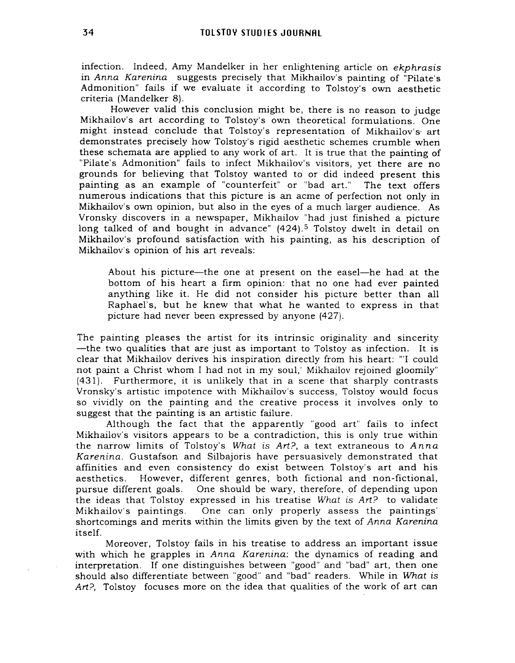infection. Indeed, Amy Mandelker in her enlightening article on ekphrasis in Anna Karenina suggests precisely that Mikhailov's painting of "Pilate's Admonition" fails if we evaluate it according to Tolstoy's own aesthetic criteria (Mandelker 8).

However valid this conclusion might be, there is no reason to judge Mikhailov's art according to Tolstoy's own theoretical formulations. One might instead conclude that Tolstoy's representation of Mikhailov's- art demonstrates precisely how Tolstoy's rigid aesthetic schemes crumble when these schemata are applied to any work of art. It is true that the painting of "Pilate's Admonition" fails to infect Mikhailov's visitors, yet there are no grounds for believing that Tolstoy wanted to or did indeed present this painting as an example of "counterfeit" or "bad art." The text offers numerous indications that this picture is an acme of perfection not only in Mikhailov's own opinion, but also in the eyes of a much larger audience. As Vronsky discovers in a newspaper, Mikhailov "had just finished a picture long talked of and bought in advance" (424).<sup>5</sup> Tolstoy dwelt in detail on Mikhailov's profound satisfaction with his painting, as his description of Mikhailov's opinion of his art reveals:

About his picture—the one at present on the easel—he had at the bottom of his heart a firm opinion: that no one had ever painted anything like it. He did not consider his picture better than all Raphael's, but he knew that what he wanted to express in that picture had never been expressed by anyone (427).

The painting pleases the artist for its intrinsic originality and sincerity -the two qualities that are just as important to Tolstoy as infection. It is clear that Mikhailov derives his inspiration directly from his heart: '''I could not paint a Christ whom I had not in my soul,' Mikhailov rejoined gloomily" (431). Furthermore, it is unlikely that in a scene that sharply contrasts Vronsky's artistic impotence with Mikhailov's success, Tolstoy would focus so vividly on the painting and the creative process it involves only to suggest that the painting is an artistic failure.

Although the fact that the apparently "good art" fails to infect Mikhailov's visitors appears to be a contradiction, this is only true within the narrow limits of Tolstoy's What is  $Art$ ?, a text extraneous to  $Anna$ Karenina. Gustafson and Silbajoris have persuasively demonstrated that affinities and even consistency do exist between Tolstoy's art and his aesthetics. However, different genres, both fictional and non-fictional, pursue different goals. One should be wary, therefore, of depending upon the ideas that Tolstoy expressed in his treatise What is  $Art$ ? to validate Mikhailov's paintings. One can only properly assess the paintings' shortcomings and merits within the limits given by the text of Anna Karenina itself.

Moreover, Tolstoy fails in his treatise to address an important issue with which he grapples in Anna Karenina: the dynamics of reading and interpretation. If one distinguishes between "good" and "bad" art, then one should also differentiate between "good" and ."bad" readers. While in *What* is Art?, Tolstoy focuses more on the idea that qualities of the work of art can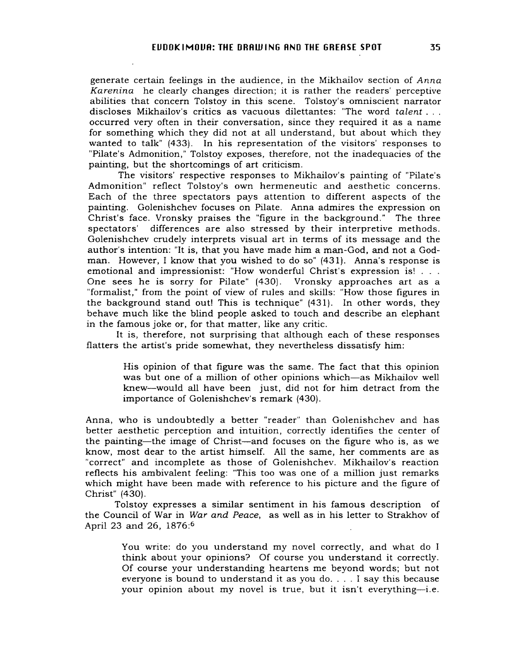generate certain feelings in the audience, in the Mikhailov section of *Anna Karenina* he clearly changes direction; it is rather the readers' perceptive abilities that concern Tolstoy in this scene. Tolstoy's omniscient narrator discloses Mikhailov's critics as vacuous dilettantes: "The word *talent .* .. occurred very often in their conversation, since they required it as a name for something which they did not at all understand, but about which they wanted to talk" (433). In his representation of the visitors' responses to "Pilate's Admonition," Tolstoy exposes, therefore, not the inadequacies of the painting, but the shortcomings of art criticism.

The visitors' respective responses to Mikhailov's painting of "Pilate's Admonition" reflect Tolstoy's own hermeneutic and aesthetic concerns. Each of the three spectators pays attention to different aspects of the painting. Golenishchev focuses on Pilate. Anna admires the expression on Christ's face. Vronsky praises the "figure in the background." The three spectators' differences are also stressed by their interpretive methods. Golenishchev crudely interprets visual art in terms of its message and the author's intention: "It is, that you have made him a man-God, and not a Godman. However, I know that you wished to do so" (431). Anna's response is emotional and impressionist: "How wonderful Christ's expression is! ... One sees he is sorry for Pilate" (430). Vronsky approaches art as a "formalist," from the point of view of rules and skills: "How those figures in the background stand out! This is technique" (431). In other words, they behave much like the blind people asked to touch and describe an elephant in the famous joke or, for that matter, like any critic.

It is, therefore, not surprising that although each of these responses flatters the artist's pride somewhat, they nevertheless dissatisfy him:

> His opinion of that figure was the same. The fact that this opinion was but one of a million of other opinions which-as Mikhailov well knew-would all have been just, did not for him detract from the importance of Golenishchev's remark (430).

Anna, who is undoubtedly a better "reader" than Golenishchev and has better aesthetic perception and intuition, correctly identifies the center of the painting-the image of Christ-and focuses on the figure who is, as we know, most dear to the artist himself. All the same, her comments are as "correct" and incomplete as those of Golenishchev. Mikhailov's reaction reflects his ambivalent feeling: "This too was one of a million just remarks which might have been made with reference to his picture and the figure of Christ" (430).

Tolstoy expresses a similar sentiment in his famous description of the Council of War in *War and Peace,* as well as in his letter to Strakhov of April 23 and 26, 1876:6

> You write: do you understand my novel correctly, and what do I think about your opinions? Of course you understand it correctly. Of course your understanding heartens me beyond words; but not everyone is bound to understand it as you do.... <sup>I</sup> say this because your opinion about my novel is true, but it isn't everything-i.e.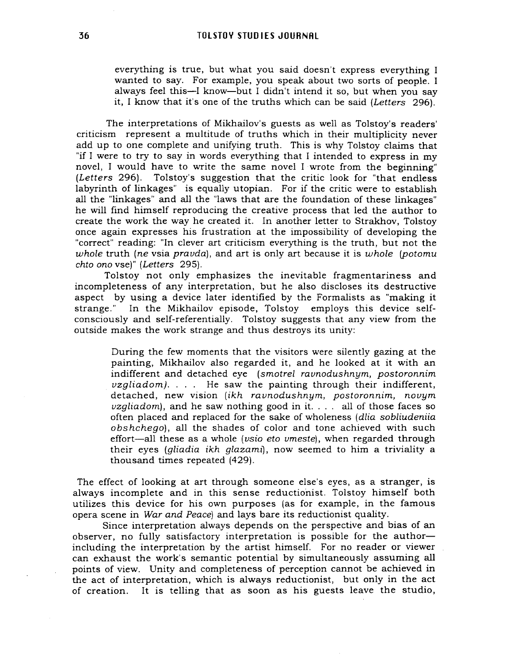everything is true, but what you said doesn't express everything I wanted to say. For example, you speak about two sorts of people. I always feel this-I know-but I didn't intend it so, but when you say it, I know that it's one of the truths which can be said (Letters 296).

The interpretations of Mikhailov's guests as well as Tolstoy's readers' criticism represent a multitude of truths which in their multiplicity never add up to one complete and unifying truth. This is why Tolstoy claims that "if I were to try to say in words everything that I intended to express in my novel, I would have to write the same novel I wrote from the beginning" (Letters 296). Tolstoy's suggestion that the critic look for "that endless labyrinth of linkages" is equally utopian. For if the critic were to establish all the "linkages" and all the "laws that are the foundation of these linkages" he Will find himself reproducing the creative process that led the author to create the work the way he created it. In another letter to Strakhov, Tolstoy once again expresses his frustration at the impossibility of developing the "correct" reading: "In clever art criticism everything is the truth, but not the whole truth (ne vsia pravda), and art is only art because it is whole (potomu chto ono vse)" (Letters 295).

Tolstoy not only emphasizes the inevitable fragmentariness and incompleteness of any interpretation, but he also discloses its destructive aspect by using a device later identified by the Formalists as "making it strange." In the Mikhailov episode, Tolstoy employs this device selfconsciously and self-referentially. Tolstoy suggests that any view from the outside makes the work strange and thus destroys its unity:

During the few moments that the visitors were silently gazing at the painting, Mikhailov also regarded it, and he looked at it with an indifferent and detached eye (smotrel ravnodushnym, postoronnim  $vzaliadom$ ). . . . He saw the painting through their indifferent, detached, new vision (ikh ravnodushnym, postoronnim, novym  $vzgliadom$ , and he saw nothing good in it. . . . all of those faces so often placed and replaced for the sake of wholeness (dlia sobliudeniia obshchego), all the shades of color and tone achieved with such effort-all these as a whole (vsio eto vmeste), when regarded through their eyes (gliadia ikh glazami), now seemed to him a triviality a thousand times repeated (429).

The effect of looking at art through someone else's eyes, as a stranger, is always incomplete and in this sense reductionist. Tolstoy himself both utilizes this device for his own purposes (as for example, in the famous opera scene in War and Peace) and lays bare its reductionist quality.

Since interpretation always depends on the perspective and bias of an observer, no fully satisfactory interpretation is possible for the authorincluding the interpretation by the artist himself. For no reader or viewer can exhaust the work's semantic potential by simultaneously assuming all points of view. Unity and completeness of perception cannot be achieved in the act of interpretation, which is always reductionist, but only in the act of creation. It is telling that as soon as his guests leave the studio,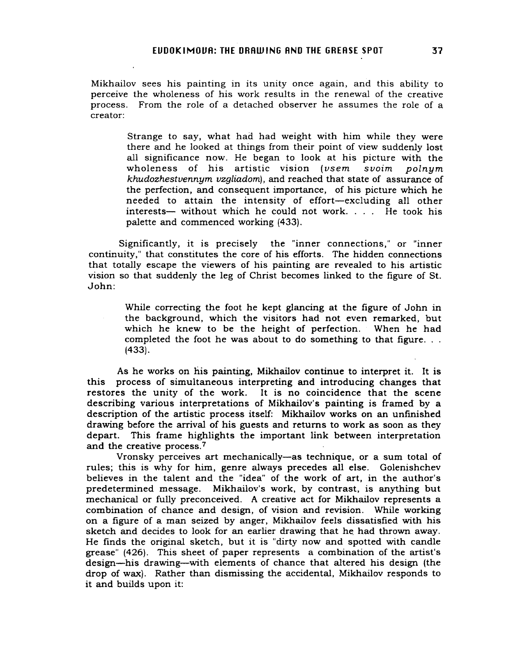Mikhailov sees his painting in its unity once again, and this ability to perceive the wholeness of his work results in the renewal of the creative process. From the role of a detached observer he assumes the role of a creator:

> Strange to say, what had had weight with him while they were there and he looked at things from their point of view suddenly lost all significance now. He began to look at his picture with the wholeness of his artistic vision (vsem svoim polnym khudozhestvennym vzgliadom), and reached that state of assurance of the perfection, and consequent importance, of his picture which he needed to attain the intensity of effort-excluding all other interests— without which he could not work. . . . He took his palette and commenced working (433).

Significantly, it is precisely the "inner connections," or "inner continuity," that constitutes the core of his efforts. The hidden connections that totally escape the viewers of his painting are revealed to his artistic vision so that suddenly the leg of Christ becomes linked to the figure of St. John:

> While correcting the foot he kept glancing at the figure of John in the background, which the visitors had not even remarked, but which he knew to be the height of perfection. When he had completed the foot he was about to do something to that figure... (433).

As he works on his painting, Mikhailov continue to interpret it. It is this process of simultaneous interpreting and introducing changes that restores the unity of the work. It is no coincidence that the scene describing various interpretations of Mikhailov's painting is framed by a description of the artistic process itself: Mikhailov works on an unfmished drawing before the arrival of his guests and returns to work as soon as they depart. This frame highlights the important link between interpretation and the creative process. <sup>7</sup>

Vronsky perceives art mechanically-as technique, or a sum total of rules; this is why for him, genre always precedes all else. Golenishchev believes in the talent and the "idea" of the work of art, in the author's predetermined message. Mikhailov's work, by contrast, is anything but mechanical or fully preconceived. A creative act for Mikhailov represents a combination of chance and design, of vision and revision. While working on a figure of a man seized by anger, Mikhailov feels dissatisfied with his sketch and decides to look for an earlier drawing that he had thrown away. He finds the original sketch, but it is "dirty now and spotted with candle grease" (426). This sheet of paper represents a combination of the artist's design-his drawing-with elements of chance that altered his design (the drop of wax). Rather than dismissing the accidental, Mikhailov responds to it and builds upon it: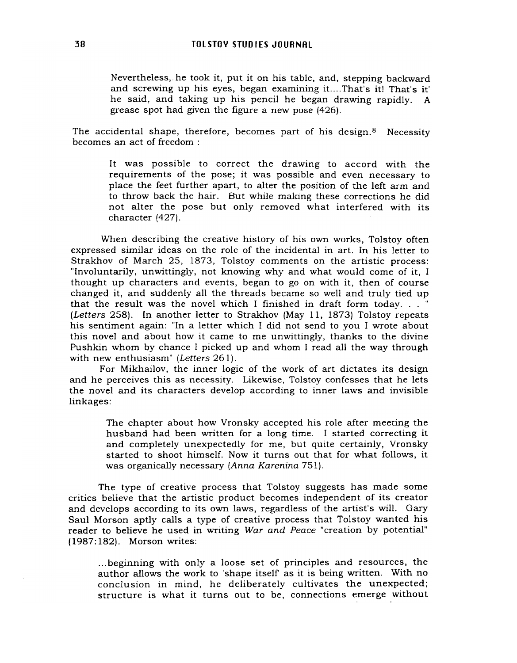Nevertheless, he took it, put it on his table, and, stepping backward and screwing up his eyes, began examining it....That's it! That's it' he said, and taking up his pencil he began drawing rapidly. A grease spot had given the figure a new pose (426).

The accidental shape, therefore, becomes part of his design. $8$  Necessity becomes an act of freedom :

It was possible to correct the drawing to accord with the requirements of the pose; it was possible and even necessary to place the feet further apart, to alter the position of the left arm and to throw back the hair. But while making these corrections he did not alter the pose but only removed what interfered with its character (427).

When describing the creative history of his own works, Tolstoy often expressed similar ideas on the role of the incidental in art. In his letter to Strakhov of March 25, 1873, Tolstoy comments on the artistic process: "Involuntarily, unwittingly, not knowing why and what would come of it, I thought up characters and events, began to go on with it, then of course changed it, and suddenly all the threads became so well and truly tied up that the result was the novel which <sup>I</sup> finished in draft form today... " (Letters 258). In another letter to Strakhov (May 11, 1873) Tolstoy repeats his sentiment again: "In a letter which I did not send to you I wrote about this novel and about how it came to me unwittingly, thanks to the divine Pushkin whom by chance I picked up and whom I read all the way through with new enthusiasm" (Letters 261).

For Mikhailov, the inner logic of the work of art dictates its design and he perceives this as necessity. Likewise, Tolstoy confesses that he lets the novel and its characters develop according to inner laws and invisible linkages:

> The chapter about how Vronsky accepted his role after meeting the husband had been written for a long time. I started correcting it and completely unexpectedly for me, but quite certainly, Vronsky started to shoot himself. Now it turns out that for what follows, it was organically necessary (Anna Karenina 751).

The type of creative process that Tolstoy suggests has made some critics believe that the artistic product becomes independent of its creator and develops according to its own laws, regardless of the artist's will. Gary Saul Morson aptly calls a type of creative process that Tolstoy wanted his reader to believe he used in writing War and Peace "creation by potential" (1987:182). Morson writes:

... beginning with only a loose set of principles and resources, the author allows the work to 'shape itself as it is being written. With no conclusion in mind, he deliberately cultivates the unexpected; structure is what it turns out to be, connections emerge without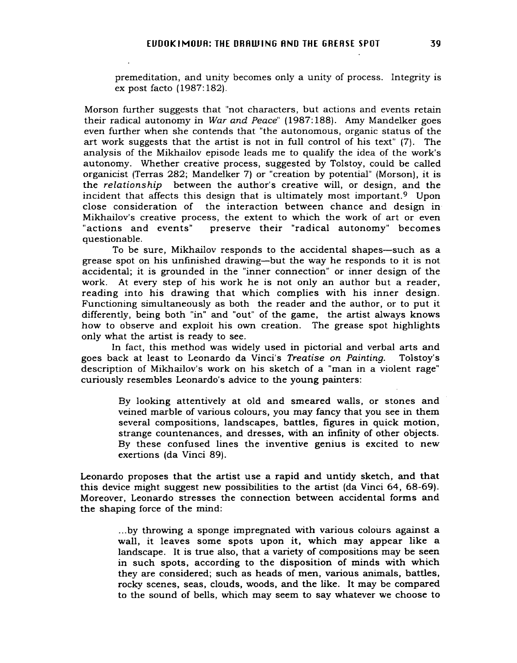premeditation, and unity becomes only a unity of process. Integrity is ex post facto (1987:182).

Morson further suggests that "not characters, but actions and events retain their radical autonomy in *War and Peace"* (1987:188). Amy Mandelker goes even further when she contends that "the autonomous, organic status of the art work suggests that the artist is not in full control of his text" (7). The analysis of the Mikhailov episode leads me to qualify the idea of the work's autonomy. Whether creative process, suggested by Tolstoy, could be called organicist (Terras 282; Mandelker 7) or "creation by potential" (Morson), it is the *relationship* between the author's creative will, or design, and the incident that affects this design that is ultimately most important.<sup>9</sup> Upon close consideration of the interaction between chance and design in-Mikhailov's creative process, the extent to which the work of art or even "actions and events" preserve their "radical autonomy" becomes questionable.

To be sure, Mikhailov responds to the accidental shapes-such as a grease spot on his unfmished drawing-but the way he responds to it is not accidental; it is grounded in the "inner connection" or inner design of the work. At every step of his work he is not only an author but a reader, reading into his drawing that which complies with his inner design. Functioning simultaneously as both the reader and the author, or to put it differently, being both "in" and "out" of the game, the artist always knows how to observe and exploit his own creation. The grease spot highlights only what the artist is ready to see.

In fact, this method was widely used in pictorial and verbal arts and goes back at least to Leonardo da Vinci's *Treatise on Painting.* Tolstoy's description of Mikhailov's work on his sketch of a "man in a violent rage" curiously resembles Leonardo's advice to the young painters:

> By looking attentively at old and smeared walls, or stones and veined marble of various colours, you may fancy that you see in them several compositions, landscapes, battles, figures in quick motion, strange countenances, and dresses, with an infmity of other objects. By these confused lines the inventive genius is excited to new exertions (da Vinci 89).

Leonardo proposes that the artist use a rapid and untidy sketch, and that this device might suggest new possibilities to the artist (da Vinci 64, 68-69). Moreover, Leonardo stresses the connection between accidental forms and the shaping force of the mind:

> ...by throwing a sponge impregnated with various colours against a wall, it leaves some spots upon it, which may appear like a landscape. It is true also, that a variety of compositions may be seen in such spots, according to the disposition of minds with which they are considered; such as heads of men, various animals, battles, rocky scenes, seas, clouds, woods, and the like. It may be compared to the sound of bells, which may seem to say whatever we choose to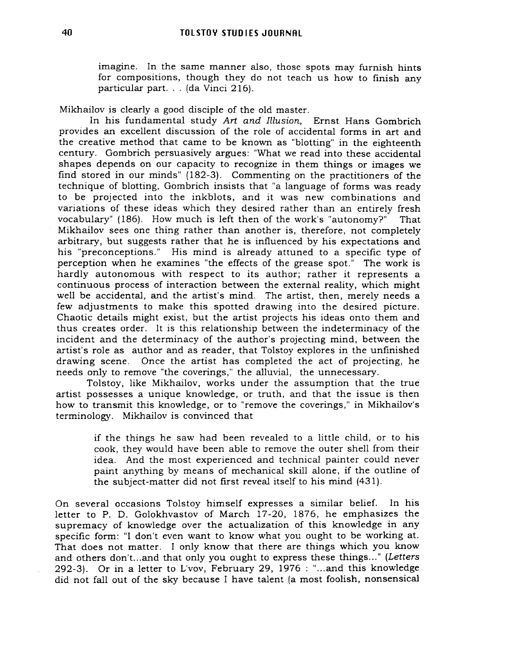imagine. In the same manner also, those spots may furnish hints for compositions, though they do not teach us how to finish any particular part... (da Vinci 216).

Mikhailov is clearly a good disciple of the old master.

In his fundamental study Art and Illusion, Ernst Hans Gombrich provides an excellent discussion of the role of accidental forms in art and the creative method that came to be known as "blotting" in the eighteenth century. Gombrich persuasively argues: "What we read into these accidental shapes depends on our capacity to recognize in them things or images we find stored in our minds" (182-3). Commenting on the practitioners of the technique of blotting, Gombrich insists that "a language of forms was ready to be projected into the inkblots, and it was new combinations and variations of these ideas which they desired rather than an entirely fresh vocabulary" (186). How much is left then of the work's "autonomy?" That Mikhailov sees one thing rather than another is, therefore, not completely arbitrary, but suggests rather that he is influenced by his expectations and his "preconceptions." His mind is already attuned to a specific type of perception when he examines "the effects of the grease spot." The work is hardly autonomous with respect to its author; rather it represents a continuous process of interaction between the external reality, which might well be accidental, and the artist's mind. The artist, then, merely needs a few adjustments to make this spotted drawing into the desired picture. Chaotic details might exist, but the artist projects his ideas onto them and thus creates order. It is this relationship between the indeterminacy of the incident and the determinacy of the author's projecting mind, between the artist's role as author and as reader, that Tolstoy explores in the unfinished drawing scene. Once the artist has completed the act of projecting, he needs only to remove "the coverings," the alluvial, the unnecessary.

Tolstoy, like Mikhailov, works under the assumption that the true artist possesses a unique knowledge, or truth, and that the issue is then how to transmit this knowledge, or to "remove the coverings," in Mikhailov's terminology. Mikhailov is convinced that

> if the things he saw had been revealed to a little child, or to his cook, they would have been able to remove the outer shell from their idea. And the most experienced and technical painter could never paint anything by means of mechanical skill alone, if the outline of the subject-matter did not first reveal itself to his mind (431).

On several occasions Tolstoy himself expresses a similar belief. In his letter to P. D. Golokhvastov of March 17-20, 1876, he emphasizes the supremacy of knowledge over the actualization of this knowledge in any specific form: "I don't even want to know what you ought to be working at. That does not matter. I only know that there are things which you know and others don't...and that only you ought to express these things..." (Letters 292-3). Or in a letter to L'vov, February 29, 1976 : "... and this knowledge did not fallout of the sky because I have talent (a most foolish, nonsensical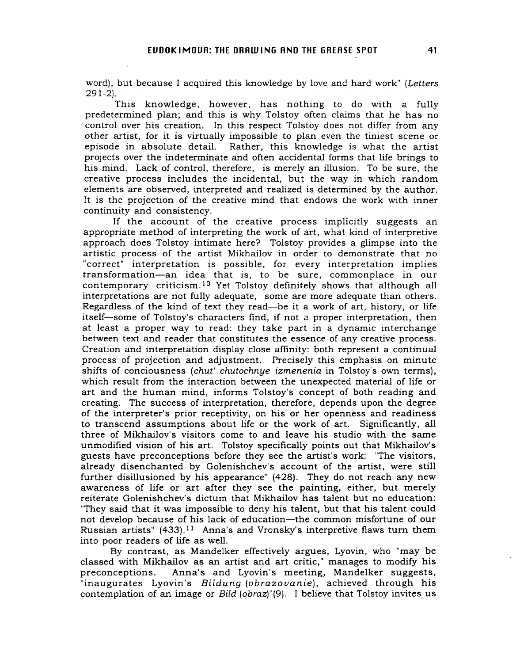word), but because I acquired this knowledge by love and hard work" (Letters 291-2).

This knowledge, however, has nothing to do with a fully predetermined plan; and this is why Tolstoy often claims that he has no control over his creation. In this respect Tolstoy does not differ from any other artist, for it is virtually impossible to plan even the tiniest scene or episode in absolute detail. Rather, this knowledge is what the artist projects over the indeterminate and often accidental forms that life brings to his mind. Lack of control, therefore, is merely an illusion. To be sure, the creative process includes the incidental, but the way in which random elements are observed, interpreted and realized is determined by the author. It is the projection of the creative mind that endows the work with inner continuity and consistency.

If the account of the creative process implicitly suggests an appropriate method of interpreting the work of art, what kind of interpretive approach does Tolstoy intimate here? Tolstoy provides a glimpse into the artistic process of the artist Mikhailov in order to demonstrate that no "correct" interpretation is possible, for every interpretation implies transformation-an idea that is, to be sure, commonplace in our contemporary criticism. <sup>10</sup> Yet Tolstoy definitely shows that although all interpretations are not fully adequate, some are more adequate than others. Regardless of the kind of text they read-be it a work of art, history, or life itself-some of Tolstoy's characters find, if not a proper interpretation, then at least a proper way to read: they take part in a dynamic interchange between text and reader that constitutes the essence of any creative process. Creation and interpretation display close affinity: both represent a continual process of projection and adjustment. Precisely this emphasis on minute shifts of conciousness (chut' chutochnye izmenenia in Tolstoy's own terms), which result from the interaction between the unexpected material of life or art and the human mind, informs Tolstoy's concept of both reading and creating. The success of interpretation, therefore, depends upon the degree of the interpreter's prior receptivity, on his or her openness and readiness to transcend assumptions about life or the work of art. Significantly, all three of Mikhailov's visitors come to and leave his studio with the same unmodified vision of his art. Tolstoy specifically points out that Mikhailov's guests have preconceptions before they see the artist's work: "The visitors, already disenchanted by Golenishchev's account of the artist, were still further disillusioned by his appearance" (428). They do not reach any new awareness of life or art after they see the painting, either, but merely reiterate Golenishchev's dictum that Mikhailov has talent but no education: "They said that it was impossible to deny his talent, but that his talent could not develop because of his lack of education-the common misfortune of our Russian artists"  $(433).<sup>11</sup>$  Anna's and Vronsky's interpretive flaws turn them into poor readers of life as well.

By contrast, as Mandelker effectively argues, Lyovin, who "may be classed with Mikhailov as an artist and art critic," manages to modify his preconceptions. Anna's and Lyovin's meeting, Mandelker suggests, "inaugurates Lyovin's Bildung (obrazovanie), achieved through his contemplation of an image or Bild (obraz)"(9). I believe that Tolstoy invites us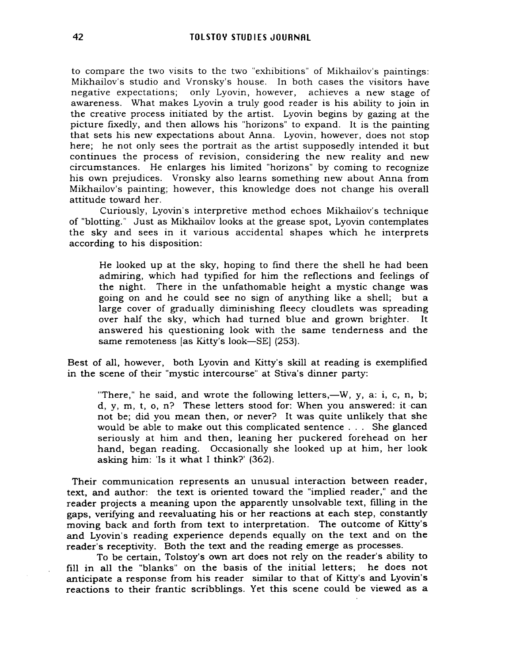to compare the two visits to the two "exhibitions" of Mikhailov's paintings: Mikhailov's studio and Vronsky's house. In both cases the visitors have negative expectations; only Lyovin, however, achieves a new stage of awareness. What makes Lyovin a truly good reader is his ability to join in the creative process initiated by the artist. Lyovin begins by gazing at the picture fixedly, and then allows his "horizons" to expand. It is the painting that sets his new expectations about Anna. Lyovin, however, does not stop here; he not only sees the portrait as the artist supposedly intended it but continues the process of revision, considering the new reality and new circumstances. He enlarges his limited "horizons" by coming to recognize his own prejudices. Vronsky also learns something new about Anna from Mikhailov's painting; however, this knowledge does not change his overall attitude toward her.

Curiously, Lyovin's interpretive method echoes Mikhailov's technique of "blotting." Just as Mikhailov looks at the grease spot, Lyovin contemplates the sky and sees in it various accidental shapes which he interprets according to his disposition:

He looked up at the sky, hoping to find there the shell he had been admiring, which had typified for him the reflections and feelings of the night. There in the unfathomable height a mystic change was going on and he could see no sign of anything like a shell; but a large cover of gradually diminishing fleecy cloudlets was spreading over half the sky, which had turned blue and grown brighter. It answered his questioning look with the same tenderness and the same remoteness [as Kitty's look-SE] (253).

Best of all, however, both Lyovin and Kitty's skill at reading is exemplified in the scene of their "mystic intercourse" at Stiva's dinner party:

"There," he said, and wrote the following letters,—W, y, a: i, c, n, b; d, y, m, t, o, n? These letters stood for: When you answered: it can not be; did you mean then, or never? It was quite unlikely that she would be able to make out this complicated sentence. .. She glanced seriously at him and then, leaning her puckered forehead on her hand, began reading. Occasionally she looked up at him, her look asking him: 'Is it what I think?' (362).

Their communication represents an unusual interaction between reader, text, and author: the text is oriented toward the "implied reader," and the reader projects a meaning upon the apparently unsolvable text, filling in the gaps, verifying and reevaluating his or her reactions at each step, constantly moving back and forth from text to interpretation. The outcome of Kitty's and Lyovin's reading experience depends equally on the text and on the reader's receptivity. Both the text and the reading emerge as processes.

To be certain, Tolstoy's own art does not rely on the reader's ability to fill in all the "blanks" on the basis of the initial letters; he does not anticipate a response from his reader similar to that of Kitty's and Lyovin's reactions to their frantic scribblings. Yet this scene could be viewed as a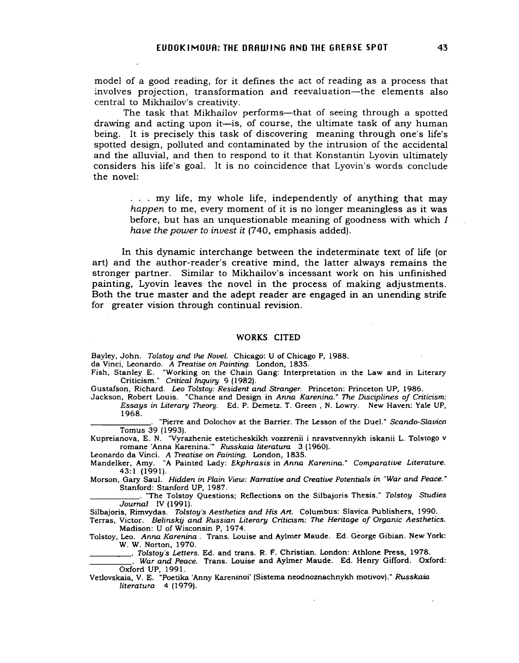model of a good reading, for it defines the act of reading as a process that involves projection, transformation and reevaluation—the elements also central to Mikhailov's creativity.

The task that Mikhailov performs—that of seeing through a spotted drawing and acting upon it-is, of course, the ultimate task of any human being. It is precisely this task of discovering meaning through one's life's spotted design, polluted and contaminated by the intrusion of the accidental and the alluvial, and then to respond to it that Konstantin Lyovin ultimately considers his life's goal. It is no coincidence that Lyovin's words conclude the novel:

> ... my life, my whole life, independently of anything that may *happen* to me, every moment of it is no longer meaningless as it was before, but has an unquestionable meaning of goodness with which I *have the power to invest it* (740, emphasis added).

In this dynamic interchange between the indeterminate text of life (or art) and the author-reader's creative mind, the latter always remains the stronger partner. Similar to Mikhailov's incessant work on his unfinished painting, Lyovin leaves the novel in the process of making adjustments. Both the true master and the adept reader are engaged in an unending strife for greater vision through continual revision.

## WORKS CITED

Bayley, John. Tolstoy and the Novel. Chicago: U of Chicago P, 1988.

da Vinci, Leonardo. A Treatise on Painting. London, 1835.

Fish, Stanley E. "Working on the Chain Gang: Interpretation in the Law and in Literary Criticism." Critical Inquiry 9 (1982).

Gustafson, Richard. Leo Tolstoy: Resident and Stranger. Princeton: Princeton UP, 1986.

Jackson, Robert Louis. "Chance and Design in Anna Karenina." The Disciplines of Criticism: Essays in Literary Theory. Ed. P. Demetz. T. Green, N. Lowry. New Haven: Yale UP, 1968.

"Pierre and Dolochov at the Barrier. The Lesson of the Duel." Scando-Slavica Tomus 39 (1993).

Kupreianova, E. N. "Vyrazhenie esteticheskikh vozzrenii i nravstvennykh iskanii L. Tolstogo v romane 'Anna Karenina.'" Russkaia literatura 3 (1960).

Leonardo da Vinci. A Treatise on Painting. London, 1835.

Mandelker, Amy. "A Painted Lady: Ekphrasis in Anna Karenina." Comparative Literature. 43: 1 (1991).

Morson, Gary Saul. Hidden in Plain View: Narrative and Creative Potentials in "War and Peace. " Stanford: Stanford UP, 1987.<br>\_\_\_\_\_\_. "The Tolstoy Questions; Reflections on the Silbajoris Thesis." *Tolstoy Studies* 

Journal IV (1991).

Silbajoris, Rimvydas. Tolstoy's Aesthetics and His Art. Columbus: Slavica Publishers, 1990.

Terras, Victor. Belinskij and Russian Literary Criticism: The Heritage of Organic Aesthetics. Madison: U of Wisconsin P, 1974.

Tolstoy, Leo. Anna Karenina. Trans. Louise and Aylmer Maude. Ed. George Gibian. New York: W. W. Norton, 1970. W. W. Norton, 1970.<br><u>\_\_\_\_\_\_\_\_\_</u>\_\_. *Tolstoy's Letters*. Ed. and trans. R. F. Christian. London: Athlone Press, 1978.

\_\_\_\_\_\_\_\_\_\_. Tolstoy's Letters. Ed. and trans. R. F. Christian. London: Athlone Press, 1978.<br>\_\_\_\_\_\_\_\_\_\_\_. War and Peace. Trans. Louise and Aylmer Maude. Ed. Henry Gifford. Oxford: Oxford UP, 1991.

Vetlovskaia, V. E. "Poetika 'Anny Kareninoi' (Sistema neodnoznachnykh motivov)." Russkaia literatura 4 (1979).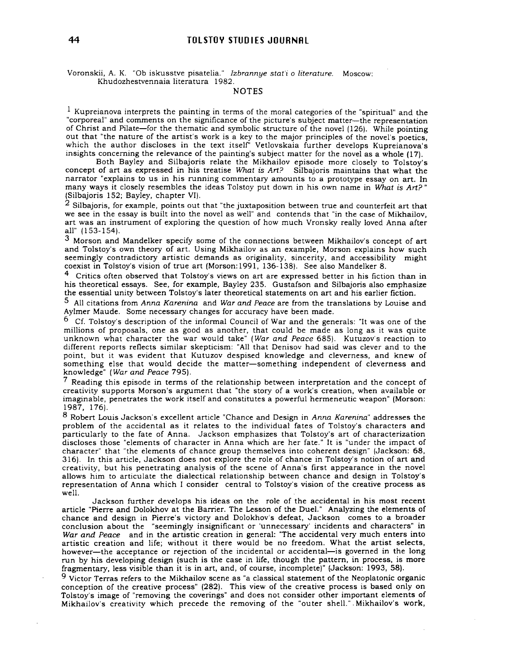## **44 TOLSTOY STUD I ES JOURNRL**

Voronskii, A. K. "Db iskusstve pisatelia." Izbrannye stat'i <sup>0</sup> literature. Moscow: Khudozhestvennaia literatura 1982.

NOTES

 $1$  Kupreianova interprets the painting in terms of the moral categories of the "spiritual" and the "corporeal" and comments on the significance of the picture's subject matter-the representation of Christ and Pilate-for the thematic and symbolic structure of the novel (126). While pointing out that "the nature of the artist's work is a key to the major principles of the novel's poetics, which the author discloses in the text itself' Vetlovskaia further develops Kupreianova's insights concerning the relevance of the painting's subject matter for the novel as a whole (17).

Both Bayley and Silbajoris relate the Mikhailov episode more closely to Tolstoy's concept of art as expressed in his treatise What is Art? Silbajoris maintains that what the narrator "explains to us in his running commentary amounts to a prototype essay on art. In many ways it closely resembles the ideas Tolstoy put down in his own name in What is  $Art$ ?" (Silbajoris 152; Bayley, chapter VI).

 $2$  Silbajoris, for example, points out that "the juxtaposition between true and counterfeit art that we see in the essay is built into the novel as well" and contends that "in the case of Mikhailov, art was an instrument of exploring the question of how much Vronsky really loved Anna after all" (153-154).

3 Morson and Mandelker specify some of the connections between Mikhailov's concept of art and Tolstoy's own theory of art. Using Mikhailov as an example, Morson explains how such seemingly contradictory artistic demands as originality, sincerity, and accessibility might coexist in Tolstoy's vision of true art (Morson: 1991, 136-138). See also Mandelker 8.

 $4$  Critics often observed that Tolstoy's views on art are expressed better in his fiction than in his theoretical essays. See, for example, Bayley 235. Gustafson and Silbajoris also emphasize the essential unity between Tolstoy's later theoretical statements on art and his earlier fiction.

5 All citations from Anna Karenina and War and Peace are from the translations by Louise and Aylmer Maude. Some necessary changes for accuracy have been made.

 $6$  Cf. Tolstoy's description of the informal Council of War and the generals: "It was one of the millions of proposals, one as good as another, that could be made as long as it was quite unknown what character the war would take" (War and Peace 685). Kutuzov's reaction to different reports reflects similar skepticism: "All that Denisov had said was clever and to the point, but it was evident that Kutuzov despised knowledge and cleverness, and knew of something else that would decide the matter-something independent of cleverness and knowledge" (War and Peace 795).

<sup>7</sup> Reading this episode in terms of the relationship between interpretation and the concept of creativity supports Morson's argument that "the story of a work's creation, when available or imaginable, penetrates the work itself and constitutes a powerful hermeneutic weapon" (Morson: 1987, 176).

8 Robert Louis Jackson's excellent article "Chance and Design in Anna Karenina" addresses the problem of the accidental as it relates to the individual fates of Tolstoy's characters and particularly to the fate of Anna. Jackson emphasizes that Tolstoy's art of characterization discloses those "elements of character in Anna which are her fate." It is "under the impact of character" that "the elements of chance group themselves into coherent design" (Jackson: 68, 316). In this article, Jackson does not explore the role of chance in Tolstoy's notion of art and creativity, but his penetrating analysis of the scene of Anna's first appearance in the novel allows him to articulate the dialectical relationship between chance and design in Tolstoy's representation of Anna which I consider central to Tolstoy's vision of the creative process as well.

Jackson further develops his ideas on the role of the accidental in his most recent article "Pierre and Dolokhov at the Barrier. The Lesson of the Duel." Analyzing the elements of chance and design in Pierre's victory and Dolokhov's defeat, Jackson comes to a broader conclusion about the "seemingly insignificant or 'unnecessary' incidents and characters" in War and Peace and in the artistic creation in general: "The accidental very much enters into artistic creation and life; without it there would be no freedom. What the artist selects, however-the acceptance or rejection of the incidental or accidental-is governed in the long run by his developing design (such is the case in life, though the pattern, in process, is more fragmentary, less visible than it is in art, and, of course, incomplete)" (Jackson: 1993, 58).

 $9$  Victor Terras refers to the Mikhailov scene as "a classical statement of the Neoplatonic organic conception of the creative process" (282). This view of the creative process is based only on Tolstoy's image of "removing the coverings" and does not consider other important elements of Mikhailov's creativity which precede the removing of the "outer shell.". Mikhailov's work,